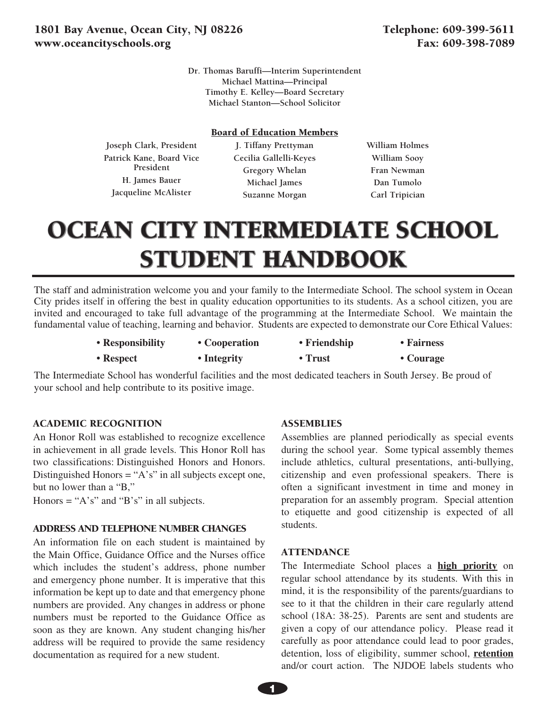**Dr. Thomas Baruffi—Interim Superintendent Michael Mattina—Principal Timothy E. Kelley—Board Secretary Michael Stanton—School Solicitor**

#### Board of Education Members

**Joseph Clark, President Patrick Kane, Board Vice President H. James Bauer Jacqueline McAlister** 

**J. Tiffany Prettyman Cecilia Gallelli-Keyes Gregory Whelan Michael James Suzanne Morgan** 

**William Holmes William Sooy Fran Newman Dan Tumolo Carl Tripician**

# **OCEAN CITY INTERMEDIATE SCHOOL** STUDENT HANDBOOK

The staff and administration welcome you and your family to the Intermediate School. The school system in Ocean City prides itself in offering the best in quality education opportunities to its students. As a school citizen, you are invited and encouraged to take full advantage of the programming at the Intermediate School. We maintain the fundamental value of teaching, learning and behavior. Students are expected to demonstrate our Core Ethical Values:

| • Responsibility  | • Cooperation | • Friendship  | • Fairness |
|-------------------|---------------|---------------|------------|
| $\bullet$ Respect | • Integrity   | $\cdot$ Trust | • Courage  |

The Intermediate School has wonderful facilities and the most dedicated teachers in South Jersey. Be proud of your school and help contribute to its positive image.

## ACADEMIC RECOGNITION

An Honor Roll was established to recognize excellence in achievement in all grade levels. This Honor Roll has two classifications: Distinguished Honors and Honors. Distinguished Honors = " $A$ 's" in all subjects except one, but no lower than a "B,"

Honors = " $A's$ " and " $B's$ " in all subjects.

#### ADDRESS AND TELEPHONE NUMBER CHANGES

An information file on each student is maintained by the Main Office, Guidance Office and the Nurses office which includes the student's address, phone number and emergency phone number. It is imperative that this information be kept up to date and that emergency phone numbers are provided. Any changes in address or phone numbers must be reported to the Guidance Office as soon as they are known. Any student changing his/her address will be required to provide the same residency documentation as required for a new student.

#### **ASSEMBLIES**

Assemblies are planned periodically as special events during the school year. Some typical assembly themes include athletics, cultural presentations, anti-bullying, citizenship and even professional speakers. There is often a significant investment in time and money in preparation for an assembly program. Special attention to etiquette and good citizenship is expected of all students.

#### **ATTENDANCE**

The Intermediate School places a **high priority** on regular school attendance by its students. With this in mind, it is the responsibility of the parents/guardians to see to it that the children in their care regularly attend school (18A: 38-25). Parents are sent and students are given a copy of our attendance policy. Please read it carefully as poor attendance could lead to poor grades, detention, loss of eligibility, summer school, **retention** and/or court action. The NJDOE labels students who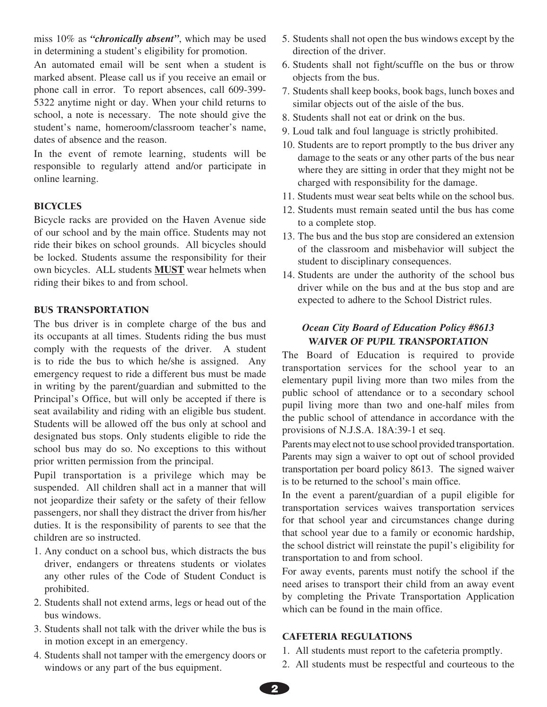miss 10% as *"chronically absent"*, which may be used in determining a student's eligibility for promotion.

An automated email will be sent when a student is marked absent. Please call us if you receive an email or phone call in error. To report absences, call 609-399- 5322 anytime night or day. When your child returns to school, a note is necessary. The note should give the student's name, homeroom/classroom teacher's name, dates of absence and the reason.

In the event of remote learning, students will be responsible to regularly attend and/or participate in online learning.

# **BICYCLES**

Bicycle racks are provided on the Haven Avenue side of our school and by the main office. Students may not ride their bikes on school grounds. All bicycles should be locked. Students assume the responsibility for their own bicycles. ALL students **MUST** wear helmets when riding their bikes to and from school.

## BUS TRANSPORTATION

The bus driver is in complete charge of the bus and its occupants at all times. Students riding the bus must comply with the requests of the driver. A student is to ride the bus to which he/she is assigned. Any emergency request to ride a different bus must be made in writing by the parent/guardian and submitted to the Principal's Office, but will only be accepted if there is seat availability and riding with an eligible bus student. Students will be allowed off the bus only at school and designated bus stops. Only students eligible to ride the school bus may do so. No exceptions to this without prior written permission from the principal.

Pupil transportation is a privilege which may be suspended. All children shall act in a manner that will not jeopardize their safety or the safety of their fellow passengers, nor shall they distract the driver from his/her duties. It is the responsibility of parents to see that the children are so instructed.

- 1. Any conduct on a school bus, which distracts the bus driver, endangers or threatens students or violates any other rules of the Code of Student Conduct is prohibited.
- 2. Students shall not extend arms, legs or head out of the bus windows.
- 3. Students shall not talk with the driver while the bus is in motion except in an emergency.
- 4. Students shall not tamper with the emergency doors or windows or any part of the bus equipment.
- 5. Students shall not open the bus windows except by the direction of the driver.
- 6. Students shall not fight/scuffle on the bus or throw objects from the bus.
- 7. Students shall keep books, book bags, lunch boxes and similar objects out of the aisle of the bus.
- 8. Students shall not eat or drink on the bus.
- 9. Loud talk and foul language is strictly prohibited.
- 10. Students are to report promptly to the bus driver any damage to the seats or any other parts of the bus near where they are sitting in order that they might not be charged with responsibility for the damage.
- 11. Students must wear seat belts while on the school bus.
- 12. Students must remain seated until the bus has come to a complete stop.
- 13. The bus and the bus stop are considered an extension of the classroom and misbehavior will subject the student to disciplinary consequences.
- 14. Students are under the authority of the school bus driver while on the bus and at the bus stop and are expected to adhere to the School District rules.

# *Ocean City Board of Education Policy #8613 WAIVER OF PUPIL TRANSPORTATION*

The Board of Education is required to provide transportation services for the school year to an elementary pupil living more than two miles from the public school of attendance or to a secondary school pupil living more than two and one-half miles from the public school of attendance in accordance with the provisions of N.J.S.A. 18A:39-1 et seq.

Parents may elect not to use school provided transportation. Parents may sign a waiver to opt out of school provided transportation per board policy 8613. The signed waiver is to be returned to the school's main office.

In the event a parent/guardian of a pupil eligible for transportation services waives transportation services for that school year and circumstances change during that school year due to a family or economic hardship, the school district will reinstate the pupil's eligibility for transportation to and from school.

For away events, parents must notify the school if the need arises to transport their child from an away event by completing the Private Transportation Application which can be found in the main office.

#### CAFETERIA REGULATIONS

- 1. All students must report to the cafeteria promptly.
- 2. All students must be respectful and courteous to the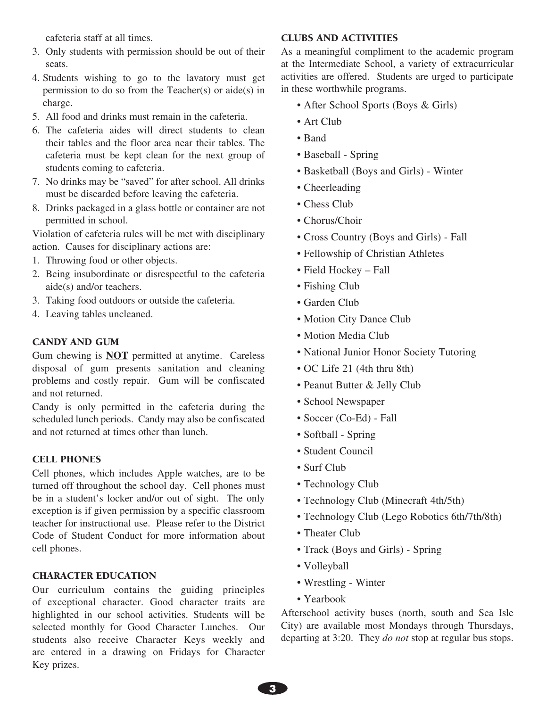cafeteria staff at all times.

- 3. Only students with permission should be out of their seats.
- 4. Students wishing to go to the lavatory must get permission to do so from the Teacher(s) or aide(s) in charge.
- 5. All food and drinks must remain in the cafeteria.
- 6. The cafeteria aides will direct students to clean their tables and the floor area near their tables. The cafeteria must be kept clean for the next group of students coming to cafeteria.
- 7. No drinks may be "saved" for after school. All drinks must be discarded before leaving the cafeteria.
- 8. Drinks packaged in a glass bottle or container are not permitted in school.

Violation of cafeteria rules will be met with disciplinary action. Causes for disciplinary actions are:

- 1. Throwing food or other objects.
- 2. Being insubordinate or disrespectful to the cafeteria aide(s) and/or teachers.
- 3. Taking food outdoors or outside the cafeteria.
- 4. Leaving tables uncleaned.

## CANDY AND GUM

Gum chewing is **NOT** permitted at anytime. Careless disposal of gum presents sanitation and cleaning problems and costly repair. Gum will be confiscated and not returned.

Candy is only permitted in the cafeteria during the scheduled lunch periods. Candy may also be confiscated and not returned at times other than lunch.

## CELL PHONES

Cell phones, which includes Apple watches, are to be turned off throughout the school day. Cell phones must be in a student's locker and/or out of sight. The only exception is if given permission by a specific classroom teacher for instructional use. Please refer to the District Code of Student Conduct for more information about cell phones.

## CHARACTER EDUCATION

Our curriculum contains the guiding principles of exceptional character. Good character traits are highlighted in our school activities. Students will be selected monthly for Good Character Lunches. Our students also receive Character Keys weekly and are entered in a drawing on Fridays for Character Key prizes.

## CLUBS AND ACTIVITIES

As a meaningful compliment to the academic program at the Intermediate School, a variety of extracurricular activities are offered. Students are urged to participate in these worthwhile programs.

- After School Sports (Boys & Girls)
- Art Club
- Band
- Baseball Spring
- Basketball (Boys and Girls) Winter
- Cheerleading
- Chess Club
- Chorus/Choir
- Cross Country (Boys and Girls) Fall
- Fellowship of Christian Athletes
- Field Hockey Fall
- Fishing Club
- Garden Club
- Motion City Dance Club
- Motion Media Club
- National Junior Honor Society Tutoring
- OC Life 21 (4th thru 8th)
- Peanut Butter & Jelly Club
- School Newspaper
- Soccer (Co-Ed) Fall
- Softball Spring
- Student Council
- Surf Club
- Technology Club
- Technology Club (Minecraft 4th/5th)
- Technology Club (Lego Robotics 6th/7th/8th)
- Theater Club
- Track (Boys and Girls) Spring
- Volleyball
- Wrestling Winter
- Yearbook

Afterschool activity buses (north, south and Sea Isle City) are available most Mondays through Thursdays, departing at 3:20. They *do not* stop at regular bus stops.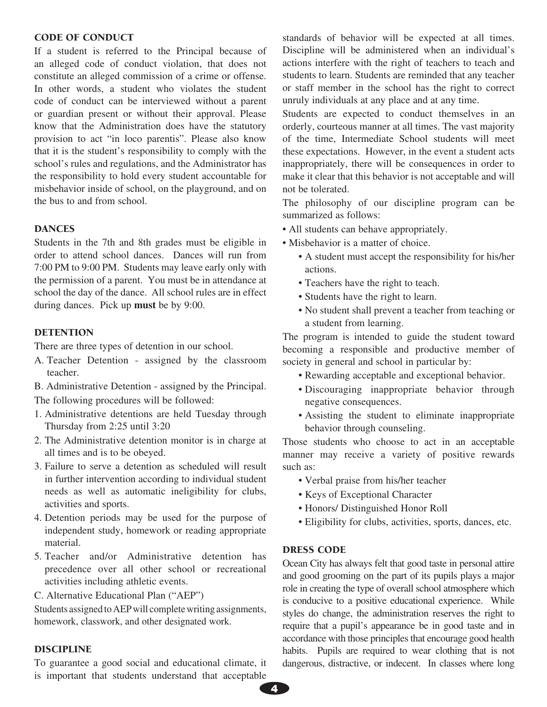#### CODE OF CONDUCT

If a student is referred to the Principal because of an alleged code of conduct violation, that does not constitute an alleged commission of a crime or offense. In other words, a student who violates the student code of conduct can be interviewed without a parent or guardian present or without their approval. Please know that the Administration does have the statutory provision to act "in loco parentis". Please also know that it is the student's responsibility to comply with the school's rules and regulations, and the Administrator has the responsibility to hold every student accountable for misbehavior inside of school, on the playground, and on the bus to and from school.

#### DANCES

Students in the 7th and 8th grades must be eligible in order to attend school dances. Dances will run from 7:00 PM to 9:00 PM. Students may leave early only with the permission of a parent. You must be in attendance at school the day of the dance. All school rules are in effect during dances. Pick up **must** be by 9:00.

#### **DETENTION**

There are three types of detention in our school.

A. Teacher Detention - assigned by the classroom teacher.

B. Administrative Detention - assigned by the Principal. The following procedures will be followed:

- 1. Administrative detentions are held Tuesday through Thursday from 2:25 until 3:20
- 2. The Administrative detention monitor is in charge at all times and is to be obeyed.
- 3. Failure to serve a detention as scheduled will result in further intervention according to individual student needs as well as automatic ineligibility for clubs, activities and sports.
- 4. Detention periods may be used for the purpose of independent study, homework or reading appropriate material.
- 5. Teacher and/or Administrative detention has precedence over all other school or recreational activities including athletic events.
- C. Alternative Educational Plan ("AEP")

Students assigned to AEP will complete writing assignments, homework, classwork, and other designated work.

#### DISCIPLINE

To guarantee a good social and educational climate, it is important that students understand that acceptable

standards of behavior will be expected at all times. Discipline will be administered when an individual's actions interfere with the right of teachers to teach and students to learn. Students are reminded that any teacher or staff member in the school has the right to correct unruly individuals at any place and at any time.

Students are expected to conduct themselves in an orderly, courteous manner at all times. The vast majority of the time, Intermediate School students will meet these expectations. However, in the event a student acts inappropriately, there will be consequences in order to make it clear that this behavior is not acceptable and will not be tolerated.

The philosophy of our discipline program can be summarized as follows:

- All students can behave appropriately.
- Misbehavior is a matter of choice.
	- A student must accept the responsibility for his/her actions.
	- Teachers have the right to teach.
	- Students have the right to learn.
	- No student shall prevent a teacher from teaching or a student from learning.

The program is intended to guide the student toward becoming a responsible and productive member of society in general and school in particular by:

- Rewarding acceptable and exceptional behavior.
- Discouraging inappropriate behavior through negative consequences.
- Assisting the student to eliminate inappropriate behavior through counseling.

Those students who choose to act in an acceptable manner may receive a variety of positive rewards such as:

- Verbal praise from his/her teacher
- Keys of Exceptional Character
- Honors/ Distinguished Honor Roll
- Eligibility for clubs, activities, sports, dances, etc.

## DRESS CODE

Ocean City has always felt that good taste in personal attire and good grooming on the part of its pupils plays a major role in creating the type of overall school atmosphere which is conducive to a positive educational experience. While styles do change, the administration reserves the right to require that a pupil's appearance be in good taste and in accordance with those principles that encourage good health habits. Pupils are required to wear clothing that is not dangerous, distractive, or indecent. In classes where long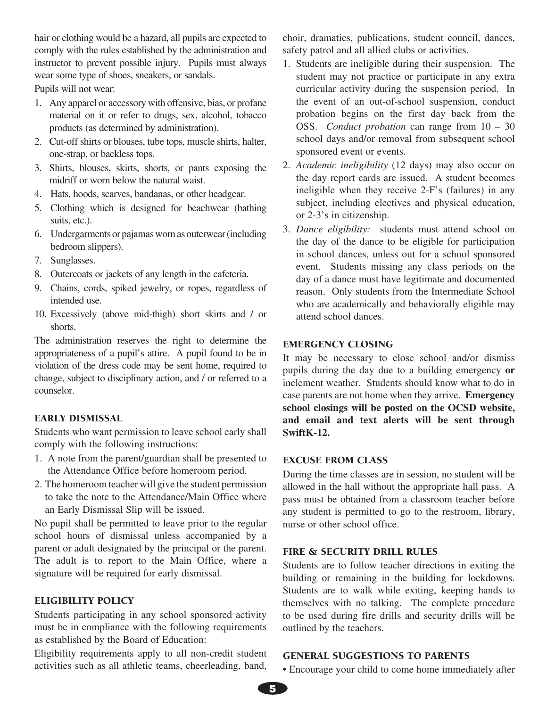hair or clothing would be a hazard, all pupils are expected to comply with the rules established by the administration and instructor to prevent possible injury. Pupils must always wear some type of shoes, sneakers, or sandals.

Pupils will not wear:

- 1. Any apparel or accessory with offensive, bias, or profane material on it or refer to drugs, sex, alcohol, tobacco products (as determined by administration).
- 2. Cut-off shirts or blouses, tube tops, muscle shirts, halter, one-strap, or backless tops.
- 3. Shirts, blouses, skirts, shorts, or pants exposing the midriff or worn below the natural waist.
- 4. Hats, hoods, scarves, bandanas, or other headgear.
- 5. Clothing which is designed for beachwear (bathing suits, etc.).
- 6. Undergarments or pajamas worn as outerwear (including bedroom slippers).
- 7. Sunglasses.
- 8. Outercoats or jackets of any length in the cafeteria.
- 9. Chains, cords, spiked jewelry, or ropes, regardless of intended use.
- 10. Excessively (above mid-thigh) short skirts and / or shorts.

The administration reserves the right to determine the appropriateness of a pupil's attire. A pupil found to be in violation of the dress code may be sent home, required to change, subject to disciplinary action, and / or referred to a counselor.

## EARLY DISMISSAL

Students who want permission to leave school early shall comply with the following instructions:

- 1. A note from the parent/guardian shall be presented to the Attendance Office before homeroom period.
- 2. The homeroom teacher will give the student permission to take the note to the Attendance/Main Office where an Early Dismissal Slip will be issued.

No pupil shall be permitted to leave prior to the regular school hours of dismissal unless accompanied by a parent or adult designated by the principal or the parent. The adult is to report to the Main Office, where a signature will be required for early dismissal.

## ELIGIBILITY POLICY

Students participating in any school sponsored activity must be in compliance with the following requirements as established by the Board of Education:

Eligibility requirements apply to all non-credit student activities such as all athletic teams, cheerleading, band, choir, dramatics, publications, student council, dances, safety patrol and all allied clubs or activities.

- 1. Students are ineligible during their suspension. The student may not practice or participate in any extra curricular activity during the suspension period. In the event of an out-of-school suspension, conduct probation begins on the first day back from the OSS. *Conduct probation* can range from 10 – 30 school days and/or removal from subsequent school sponsored event or events.
- 2. *Academic ineligibility* (12 days) may also occur on the day report cards are issued. A student becomes ineligible when they receive 2-F's (failures) in any subject, including electives and physical education, or 2-3's in citizenship.
- 3. *Dance eligibility:* students must attend school on the day of the dance to be eligible for participation in school dances, unless out for a school sponsored event. Students missing any class periods on the day of a dance must have legitimate and documented reason. Only students from the Intermediate School who are academically and behaviorally eligible may attend school dances.

## EMERGENCY CLOSING

It may be necessary to close school and/or dismiss pupils during the day due to a building emergency **or** inclement weather. Students should know what to do in case parents are not home when they arrive. **Emergency school closings will be posted on the OCSD website, and email and text alerts will be sent through SwiftK-12.** 

#### EXCUSE FROM CLASS

During the time classes are in session, no student will be allowed in the hall without the appropriate hall pass. A pass must be obtained from a classroom teacher before any student is permitted to go to the restroom, library, nurse or other school office.

#### FIRE & SECURITY DRILL RULES

Students are to follow teacher directions in exiting the building or remaining in the building for lockdowns. Students are to walk while exiting, keeping hands to themselves with no talking. The complete procedure to be used during fire drills and security drills will be outlined by the teachers.

# GENERAL SUGGESTIONS TO PARENTS

• Encourage your child to come home immediately after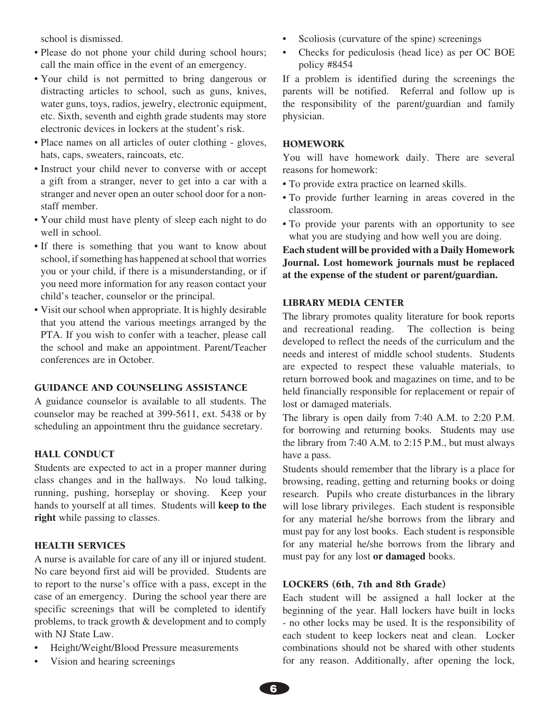school is dismissed.

- Please do not phone your child during school hours; call the main office in the event of an emergency.
- Your child is not permitted to bring dangerous or distracting articles to school, such as guns, knives, water guns, toys, radios, jewelry, electronic equipment, etc. Sixth, seventh and eighth grade students may store electronic devices in lockers at the student's risk.
- Place names on all articles of outer clothing gloves, hats, caps, sweaters, raincoats, etc.
- Instruct your child never to converse with or accept a gift from a stranger, never to get into a car with a stranger and never open an outer school door for a nonstaff member.
- Your child must have plenty of sleep each night to do well in school.
- If there is something that you want to know about school, if something has happened at school that worries you or your child, if there is a misunderstanding, or if you need more information for any reason contact your child's teacher, counselor or the principal.
- Visit our school when appropriate. It is highly desirable that you attend the various meetings arranged by the PTA. If you wish to confer with a teacher, please call the school and make an appointment. Parent/Teacher conferences are in October.

## GUIDANCE AND COUNSELING ASSISTANCE

A guidance counselor is available to all students. The counselor may be reached at 399-5611, ext. 5438 or by scheduling an appointment thru the guidance secretary.

## HALL CONDUCT

Students are expected to act in a proper manner during class changes and in the hallways. No loud talking, running, pushing, horseplay or shoving. Keep your hands to yourself at all times. Students will **keep to the right** while passing to classes.

## HEALTH SERVICES

A nurse is available for care of any ill or injured student. No care beyond first aid will be provided. Students are to report to the nurse's office with a pass, except in the case of an emergency. During the school year there are specific screenings that will be completed to identify problems, to track growth & development and to comply with NJ State Law.

- Height/Weight/Blood Pressure measurements
- Vision and hearing screenings
- Scoliosis (curvature of the spine) screenings
- Checks for pediculosis (head lice) as per OC BOE policy #8454

If a problem is identified during the screenings the parents will be notified. Referral and follow up is the responsibility of the parent/guardian and family physician.

#### HOMEWORK

You will have homework daily. There are several reasons for homework:

- To provide extra practice on learned skills.
- To provide further learning in areas covered in the classroom.
- To provide your parents with an opportunity to see what you are studying and how well you are doing.

**Each student will be provided with a Daily Homework Journal. Lost homework journals must be replaced at the expense of the student or parent/guardian.**

#### LIBRARY MEDIA CENTER

The library promotes quality literature for book reports and recreational reading. The collection is being developed to reflect the needs of the curriculum and the needs and interest of middle school students. Students are expected to respect these valuable materials, to return borrowed book and magazines on time, and to be held financially responsible for replacement or repair of lost or damaged materials.

The library is open daily from 7:40 A.M. to 2:20 P.M. for borrowing and returning books. Students may use the library from 7:40 A.M. to 2:15 P.M., but must always have a pass.

Students should remember that the library is a place for browsing, reading, getting and returning books or doing research. Pupils who create disturbances in the library will lose library privileges. Each student is responsible for any material he/she borrows from the library and must pay for any lost books. Each student is responsible for any material he/she borrows from the library and must pay for any lost **or damaged** books.

## LOCKERS (6th, 7th and 8th Grade)

Each student will be assigned a hall locker at the beginning of the year. Hall lockers have built in locks - no other locks may be used. It is the responsibility of each student to keep lockers neat and clean. Locker combinations should not be shared with other students for any reason. Additionally, after opening the lock,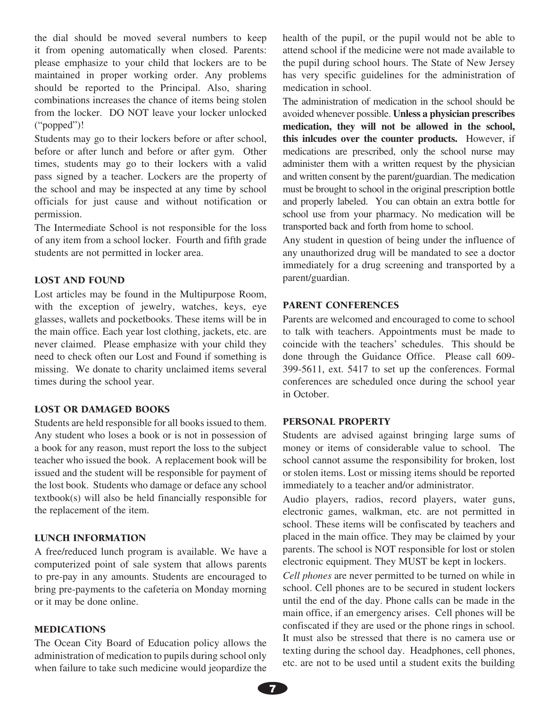the dial should be moved several numbers to keep it from opening automatically when closed. Parents: please emphasize to your child that lockers are to be maintained in proper working order. Any problems should be reported to the Principal. Also, sharing combinations increases the chance of items being stolen from the locker. DO NOT leave your locker unlocked ("popped")!

Students may go to their lockers before or after school, before or after lunch and before or after gym. Other times, students may go to their lockers with a valid pass signed by a teacher. Lockers are the property of the school and may be inspected at any time by school officials for just cause and without notification or permission.

The Intermediate School is not responsible for the loss of any item from a school locker. Fourth and fifth grade students are not permitted in locker area.

#### LOST AND FOUND

Lost articles may be found in the Multipurpose Room, with the exception of jewelry, watches, keys, eye glasses, wallets and pocketbooks. These items will be in the main office. Each year lost clothing, jackets, etc. are never claimed. Please emphasize with your child they need to check often our Lost and Found if something is missing. We donate to charity unclaimed items several times during the school year.

## LOST OR DAMAGED BOOKS

Students are held responsible for all books issued to them. Any student who loses a book or is not in possession of a book for any reason, must report the loss to the subject teacher who issued the book. A replacement book will be issued and the student will be responsible for payment of the lost book. Students who damage or deface any school textbook(s) will also be held financially responsible for the replacement of the item.

#### LUNCH INFORMATION

A free/reduced lunch program is available. We have a computerized point of sale system that allows parents to pre-pay in any amounts. Students are encouraged to bring pre-payments to the cafeteria on Monday morning or it may be done online.

#### MEDICATIONS

The Ocean City Board of Education policy allows the administration of medication to pupils during school only when failure to take such medicine would jeopardize the health of the pupil, or the pupil would not be able to attend school if the medicine were not made available to the pupil during school hours. The State of New Jersey has very specific guidelines for the administration of medication in school.

The administration of medication in the school should be avoided whenever possible. **Unless a physician prescribes medication, they will not be allowed in the school, this inlcudes over the counter products.** However, if medications are prescribed, only the school nurse may administer them with a written request by the physician and written consent by the parent/guardian. The medication must be brought to school in the original prescription bottle and properly labeled. You can obtain an extra bottle for school use from your pharmacy. No medication will be transported back and forth from home to school.

Any student in question of being under the influence of any unauthorized drug will be mandated to see a doctor immediately for a drug screening and transported by a parent/guardian.

#### PARENT CONFERENCES

Parents are welcomed and encouraged to come to school to talk with teachers. Appointments must be made to coincide with the teachers' schedules. This should be done through the Guidance Office. Please call 609- 399-5611, ext. 5417 to set up the conferences. Formal conferences are scheduled once during the school year in October.

#### PERSONAL PROPERTY

Students are advised against bringing large sums of money or items of considerable value to school. The school cannot assume the responsibility for broken, lost or stolen items. Lost or missing items should be reported immediately to a teacher and/or administrator.

Audio players, radios, record players, water guns, electronic games, walkman, etc. are not permitted in school. These items will be confiscated by teachers and placed in the main office. They may be claimed by your parents. The school is NOT responsible for lost or stolen electronic equipment. They MUST be kept in lockers.

*Cell phones* are never permitted to be turned on while in school. Cell phones are to be secured in student lockers until the end of the day. Phone calls can be made in the main office, if an emergency arises. Cell phones will be confiscated if they are used or the phone rings in school. It must also be stressed that there is no camera use or texting during the school day. Headphones, cell phones, etc. are not to be used until a student exits the building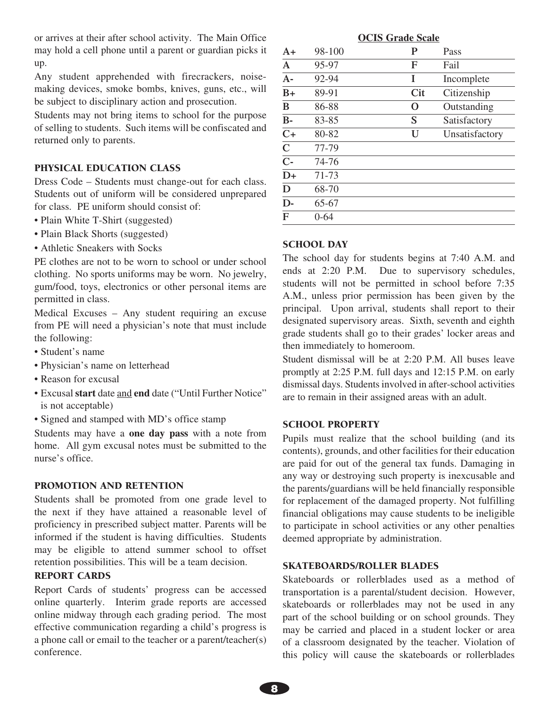or arrives at their after school activity. The Main Office may hold a cell phone until a parent or guardian picks it up.

Any student apprehended with firecrackers, noisemaking devices, smoke bombs, knives, guns, etc., will be subject to disciplinary action and prosecution.

Students may not bring items to school for the purpose of selling to students. Such items will be confiscated and returned only to parents.

#### PHYSICAL EDUCATION CLASS

Dress Code – Students must change-out for each class. Students out of uniform will be considered unprepared for class. PE uniform should consist of:

- Plain White T-Shirt (suggested)
- Plain Black Shorts (suggested)
- Athletic Sneakers with Socks

PE clothes are not to be worn to school or under school clothing. No sports uniforms may be worn. No jewelry, gum/food, toys, electronics or other personal items are permitted in class.

Medical Excuses – Any student requiring an excuse from PE will need a physician's note that must include the following:

- Student's name
- Physician's name on letterhead
- Reason for excusal
- Excusal **start** date and **end** date ("Until Further Notice" is not acceptable)
- Signed and stamped with MD's office stamp

Students may have a **one day pass** with a note from home. All gym excusal notes must be submitted to the nurse's office.

#### PROMOTION AND RETENTION

Students shall be promoted from one grade level to the next if they have attained a reasonable level of proficiency in prescribed subject matter. Parents will be informed if the student is having difficulties. Students may be eligible to attend summer school to offset retention possibilities. This will be a team decision.

## REPORT CARDS

Report Cards of students' progress can be accessed online quarterly. Interim grade reports are accessed online midway through each grading period. The most effective communication regarding a child's progress is a phone call or email to the teacher or a parent/teacher(s) conference.

| <b>OCIS Grade Scale</b> |          |            |                |  |
|-------------------------|----------|------------|----------------|--|
| $A+$                    | 98-100   | P          | Pass           |  |
| $\mathbf{A}$            | 95-97    | F          | Fail           |  |
| $A -$                   | 92-94    | T          | Incomplete     |  |
| $B+$                    | 89-91    | <b>Cit</b> | Citizenship    |  |
| B                       | 86-88    | O          | Outstanding    |  |
| $B -$                   | 83-85    | S          | Satisfactory   |  |
| $C+$                    | 80-82    | U          | Unsatisfactory |  |
| $\mathbf C$             | 77-79    |            |                |  |
| $C -$                   | 74-76    |            |                |  |
| $D+$                    | 71-73    |            |                |  |
| D                       | 68-70    |            |                |  |
| $D-$                    | 65-67    |            |                |  |
| F                       | $0 - 64$ |            |                |  |

#### SCHOOL DAY

The school day for students begins at 7:40 A.M. and ends at 2:20 P.M. Due to supervisory schedules, students will not be permitted in school before 7:35 A.M., unless prior permission has been given by the principal. Upon arrival, students shall report to their designated supervisory areas. Sixth, seventh and eighth grade students shall go to their grades' locker areas and then immediately to homeroom.

Student dismissal will be at 2:20 P.M. All buses leave promptly at 2:25 P.M. full days and 12:15 P.M. on early dismissal days. Students involved in after-school activities are to remain in their assigned areas with an adult.

#### SCHOOL PROPERTY

Pupils must realize that the school building (and its contents), grounds, and other facilities for their education are paid for out of the general tax funds. Damaging in any way or destroying such property is inexcusable and the parents/guardians will be held financially responsible for replacement of the damaged property. Not fulfilling financial obligations may cause students to be ineligible to participate in school activities or any other penalties deemed appropriate by administration.

#### SKATEBOARDS/ROLLER BLADES

Skateboards or rollerblades used as a method of transportation is a parental/student decision. However, skateboards or rollerblades may not be used in any part of the school building or on school grounds. They may be carried and placed in a student locker or area of a classroom designated by the teacher. Violation of this policy will cause the skateboards or rollerblades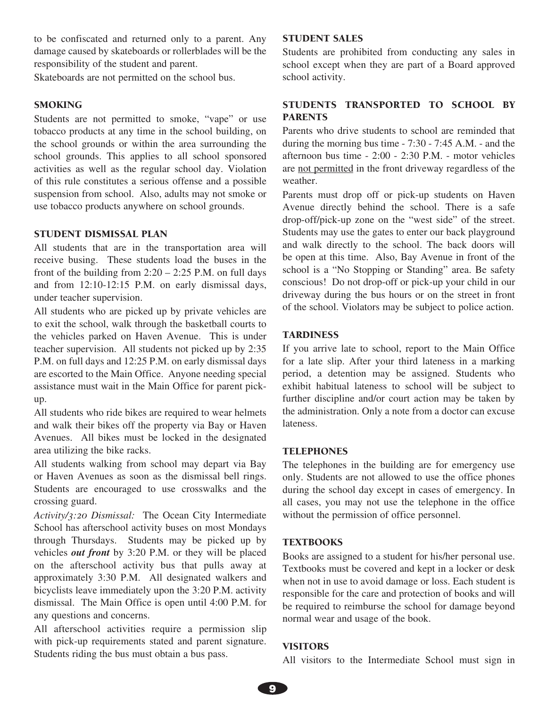to be confiscated and returned only to a parent. Any damage caused by skateboards or rollerblades will be the responsibility of the student and parent.

Skateboards are not permitted on the school bus.

## SMOKING

Students are not permitted to smoke, "vape" or use tobacco products at any time in the school building, on the school grounds or within the area surrounding the school grounds. This applies to all school sponsored activities as well as the regular school day. Violation of this rule constitutes a serious offense and a possible suspension from school. Also, adults may not smoke or use tobacco products anywhere on school grounds.

#### STUDENT DISMISSAL PLAN

All students that are in the transportation area will receive busing. These students load the buses in the front of the building from  $2:20 - 2:25$  P.M. on full days and from 12:10-12:15 P.M. on early dismissal days, under teacher supervision.

All students who are picked up by private vehicles are to exit the school, walk through the basketball courts to the vehicles parked on Haven Avenue. This is under teacher supervision. All students not picked up by 2:35 P.M. on full days and 12:25 P.M. on early dismissal days are escorted to the Main Office. Anyone needing special assistance must wait in the Main Office for parent pickup.

All students who ride bikes are required to wear helmets and walk their bikes off the property via Bay or Haven Avenues. All bikes must be locked in the designated area utilizing the bike racks.

All students walking from school may depart via Bay or Haven Avenues as soon as the dismissal bell rings. Students are encouraged to use crosswalks and the crossing guard.

*Activity/3:20 Dismissal:* The Ocean City Intermediate School has afterschool activity buses on most Mondays through Thursdays. Students may be picked up by vehicles *out front* by 3:20 P.M. or they will be placed on the afterschool activity bus that pulls away at approximately 3:30 P.M. All designated walkers and bicyclists leave immediately upon the 3:20 P.M. activity dismissal. The Main Office is open until 4:00 P.M. for any questions and concerns.

All afterschool activities require a permission slip with pick-up requirements stated and parent signature. Students riding the bus must obtain a bus pass.

#### STUDENT SALES

Students are prohibited from conducting any sales in school except when they are part of a Board approved school activity.

# STUDENTS TRANSPORTED TO SCHOOL BY PARENTS

Parents who drive students to school are reminded that during the morning bus time - 7:30 - 7:45 A.M. - and the afternoon bus time - 2:00 - 2:30 P.M. - motor vehicles are not permitted in the front driveway regardless of the weather.

Parents must drop off or pick-up students on Haven Avenue directly behind the school. There is a safe drop-off/pick-up zone on the "west side" of the street. Students may use the gates to enter our back playground and walk directly to the school. The back doors will be open at this time. Also, Bay Avenue in front of the school is a "No Stopping or Standing" area. Be safety conscious! Do not drop-off or pick-up your child in our driveway during the bus hours or on the street in front of the school. Violators may be subject to police action.

#### **TARDINESS**

If you arrive late to school, report to the Main Office for a late slip. After your third lateness in a marking period, a detention may be assigned. Students who exhibit habitual lateness to school will be subject to further discipline and/or court action may be taken by the administration. Only a note from a doctor can excuse lateness.

## **TELEPHONES**

The telephones in the building are for emergency use only. Students are not allowed to use the office phones during the school day except in cases of emergency. In all cases, you may not use the telephone in the office without the permission of office personnel.

#### **TEXTBOOKS**

Books are assigned to a student for his/her personal use. Textbooks must be covered and kept in a locker or desk when not in use to avoid damage or loss. Each student is responsible for the care and protection of books and will be required to reimburse the school for damage beyond normal wear and usage of the book.

#### **VISITORS**

All visitors to the Intermediate School must sign in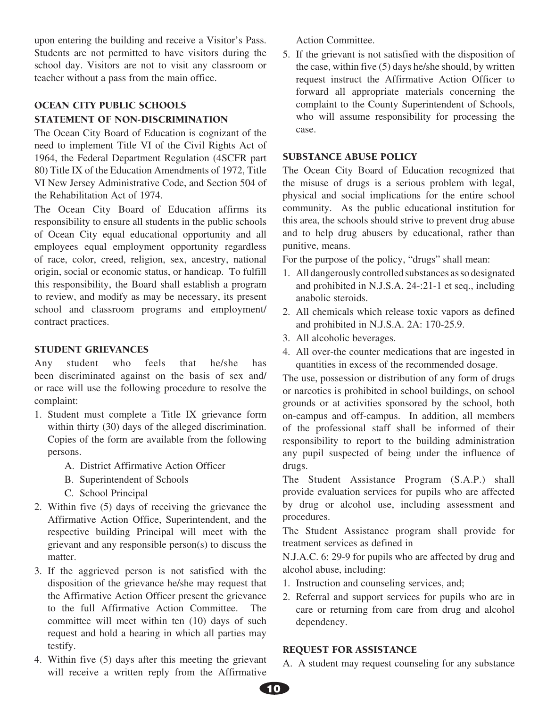upon entering the building and receive a Visitor's Pass. Students are not permitted to have visitors during the school day. Visitors are not to visit any classroom or teacher without a pass from the main office.

# OCEAN CITY PUBLIC SCHOOLS STATEMENT OF NON-DISCRIMINATION

The Ocean City Board of Education is cognizant of the need to implement Title VI of the Civil Rights Act of 1964, the Federal Department Regulation (4SCFR part 80) Title IX of the Education Amendments of 1972, Title VI New Jersey Administrative Code, and Section 504 of the Rehabilitation Act of 1974.

The Ocean City Board of Education affirms its responsibility to ensure all students in the public schools of Ocean City equal educational opportunity and all employees equal employment opportunity regardless of race, color, creed, religion, sex, ancestry, national origin, social or economic status, or handicap. To fulfill this responsibility, the Board shall establish a program to review, and modify as may be necessary, its present school and classroom programs and employment/ contract practices.

# STUDENT GRIEVANCES

Any student who feels that he/she has been discriminated against on the basis of sex and/ or race will use the following procedure to resolve the complaint:

- 1. Student must complete a Title IX grievance form within thirty (30) days of the alleged discrimination. Copies of the form are available from the following persons.
	- A. District Affirmative Action Officer
	- B. Superintendent of Schools
	- C. School Principal
- 2. Within five (5) days of receiving the grievance the Affirmative Action Office, Superintendent, and the respective building Principal will meet with the grievant and any responsible person(s) to discuss the matter.
- 3. If the aggrieved person is not satisfied with the disposition of the grievance he/she may request that the Affirmative Action Officer present the grievance to the full Affirmative Action Committee. The committee will meet within ten (10) days of such request and hold a hearing in which all parties may testify.
- 4. Within five (5) days after this meeting the grievant will receive a written reply from the Affirmative

Action Committee.

5. If the grievant is not satisfied with the disposition of the case, within five (5) days he/she should, by written request instruct the Affirmative Action Officer to forward all appropriate materials concerning the complaint to the County Superintendent of Schools, who will assume responsibility for processing the case.

## SUBSTANCE ABUSE POLICY

The Ocean City Board of Education recognized that the misuse of drugs is a serious problem with legal, physical and social implications for the entire school community. As the public educational institution for this area, the schools should strive to prevent drug abuse and to help drug abusers by educational, rather than punitive, means.

For the purpose of the policy, "drugs" shall mean:

- 1. All dangerously controlled substances as so designated and prohibited in N.J.S.A. 24-:21-1 et seq., including anabolic steroids.
- 2. All chemicals which release toxic vapors as defined and prohibited in N.J.S.A. 2A: 170-25.9.
- 3. All alcoholic beverages.
- 4. All over-the counter medications that are ingested in quantities in excess of the recommended dosage.

The use, possession or distribution of any form of drugs or narcotics is prohibited in school buildings, on school grounds or at activities sponsored by the school, both on-campus and off-campus. In addition, all members of the professional staff shall be informed of their responsibility to report to the building administration any pupil suspected of being under the influence of drugs.

The Student Assistance Program (S.A.P.) shall provide evaluation services for pupils who are affected by drug or alcohol use, including assessment and procedures.

The Student Assistance program shall provide for treatment services as defined in

N.J.A.C. 6: 29-9 for pupils who are affected by drug and alcohol abuse, including:

- 1. Instruction and counseling services, and;
- 2. Referral and support services for pupils who are in care or returning from care from drug and alcohol dependency.

## REQUEST FOR ASSISTANCE

A. A student may request counseling for any substance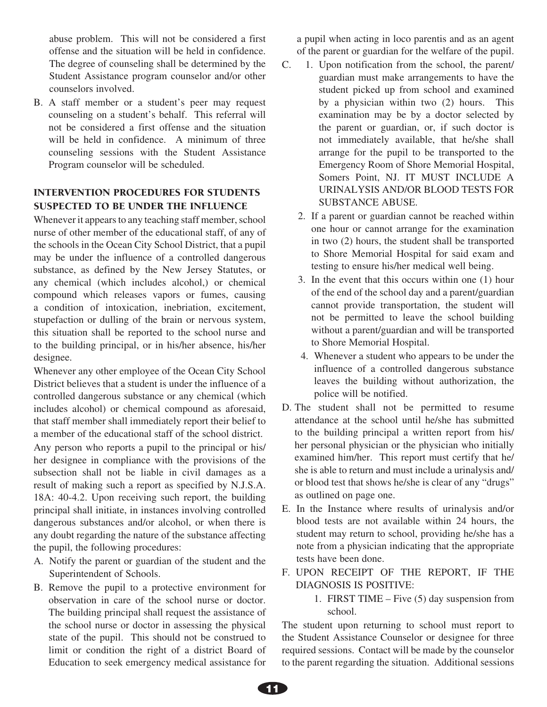abuse problem. This will not be considered a first offense and the situation will be held in confidence. The degree of counseling shall be determined by the Student Assistance program counselor and/or other counselors involved.

B. A staff member or a student's peer may request counseling on a student's behalf. This referral will not be considered a first offense and the situation will be held in confidence. A minimum of three counseling sessions with the Student Assistance Program counselor will be scheduled.

# INTERVENTION PROCEDURES FOR STUDENTS SUSPECTED TO BE UNDER THE INFLUENCE

Whenever it appears to any teaching staff member, school nurse of other member of the educational staff, of any of the schools in the Ocean City School District, that a pupil may be under the influence of a controlled dangerous substance, as defined by the New Jersey Statutes, or any chemical (which includes alcohol,) or chemical compound which releases vapors or fumes, causing a condition of intoxication, inebriation, excitement, stupefaction or dulling of the brain or nervous system, this situation shall be reported to the school nurse and to the building principal, or in his/her absence, his/her designee.

Whenever any other employee of the Ocean City School District believes that a student is under the influence of a controlled dangerous substance or any chemical (which includes alcohol) or chemical compound as aforesaid, that staff member shall immediately report their belief to a member of the educational staff of the school district. Any person who reports a pupil to the principal or his/ her designee in compliance with the provisions of the subsection shall not be liable in civil damages as a result of making such a report as specified by N.J.S.A. 18A: 40-4.2. Upon receiving such report, the building principal shall initiate, in instances involving controlled dangerous substances and/or alcohol, or when there is any doubt regarding the nature of the substance affecting the pupil, the following procedures:

- A. Notify the parent or guardian of the student and the Superintendent of Schools.
- B. Remove the pupil to a protective environment for observation in care of the school nurse or doctor. The building principal shall request the assistance of the school nurse or doctor in assessing the physical state of the pupil. This should not be construed to limit or condition the right of a district Board of Education to seek emergency medical assistance for

a pupil when acting in loco parentis and as an agent of the parent or guardian for the welfare of the pupil.

- C. 1. Upon notification from the school, the parent/ guardian must make arrangements to have the student picked up from school and examined by a physician within two (2) hours. This examination may be by a doctor selected by the parent or guardian, or, if such doctor is not immediately available, that he/she shall arrange for the pupil to be transported to the Emergency Room of Shore Memorial Hospital, Somers Point, NJ. IT MUST INCLUDE A URINALYSIS AND/OR BLOOD TESTS FOR SUBSTANCE ABUSE.
	- 2. If a parent or guardian cannot be reached within one hour or cannot arrange for the examination in two (2) hours, the student shall be transported to Shore Memorial Hospital for said exam and testing to ensure his/her medical well being.
	- 3. In the event that this occurs within one (1) hour of the end of the school day and a parent/guardian cannot provide transportation, the student will not be permitted to leave the school building without a parent/guardian and will be transported to Shore Memorial Hospital.
	- 4. Whenever a student who appears to be under the influence of a controlled dangerous substance leaves the building without authorization, the police will be notified.
- D. The student shall not be permitted to resume attendance at the school until he/she has submitted to the building principal a written report from his/ her personal physician or the physician who initially examined him/her. This report must certify that he/ she is able to return and must include a urinalysis and/ or blood test that shows he/she is clear of any "drugs" as outlined on page one.
- E. In the Instance where results of urinalysis and/or blood tests are not available within 24 hours, the student may return to school, providing he/she has a note from a physician indicating that the appropriate tests have been done.
- F. UPON RECEIPT OF THE REPORT, IF THE DIAGNOSIS IS POSITIVE:
	- 1. FIRST TIME Five (5) day suspension from school.

The student upon returning to school must report to the Student Assistance Counselor or designee for three required sessions. Contact will be made by the counselor to the parent regarding the situation. Additional sessions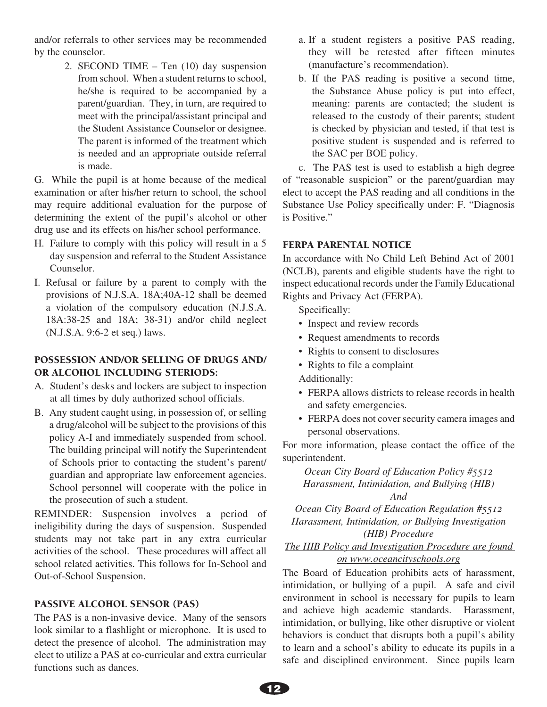and/or referrals to other services may be recommended by the counselor.

> 2. SECOND TIME – Ten (10) day suspension from school. When a student returns to school, he/she is required to be accompanied by a parent/guardian. They, in turn, are required to meet with the principal/assistant principal and the Student Assistance Counselor or designee. The parent is informed of the treatment which is needed and an appropriate outside referral is made.

G. While the pupil is at home because of the medical examination or after his/her return to school, the school may require additional evaluation for the purpose of determining the extent of the pupil's alcohol or other drug use and its effects on his/her school performance.

- H. Failure to comply with this policy will result in a 5 day suspension and referral to the Student Assistance Counselor.
- I. Refusal or failure by a parent to comply with the provisions of N.J.S.A. 18A;40A-12 shall be deemed a violation of the compulsory education (N.J.S.A. 18A:38-25 and 18A; 38-31) and/or child neglect (N.J.S.A. 9:6-2 et seq.) laws.

## POSSESSION AND/OR SELLING OF DRUGS AND/ OR ALCOHOL INCLUDING STERIODS:

- A. Student's desks and lockers are subject to inspection at all times by duly authorized school officials.
- B. Any student caught using, in possession of, or selling a drug/alcohol will be subject to the provisions of this policy A-I and immediately suspended from school. The building principal will notify the Superintendent of Schools prior to contacting the student's parent/ guardian and appropriate law enforcement agencies. School personnel will cooperate with the police in the prosecution of such a student.

REMINDER: Suspension involves a period of ineligibility during the days of suspension. Suspended students may not take part in any extra curricular activities of the school. These procedures will affect all school related activities. This follows for In-School and Out-of-School Suspension.

# PASSIVE ALCOHOL SENSOR (PAS)

The PAS is a non-invasive device. Many of the sensors look similar to a flashlight or microphone. It is used to detect the presence of alcohol. The administration may elect to utilize a PAS at co-curricular and extra curricular functions such as dances.

- a. If a student registers a positive PAS reading, they will be retested after fifteen minutes (manufacture's recommendation).
- b. If the PAS reading is positive a second time, the Substance Abuse policy is put into effect, meaning: parents are contacted; the student is released to the custody of their parents; student is checked by physician and tested, if that test is positive student is suspended and is referred to the SAC per BOE policy.

c. The PAS test is used to establish a high degree of "reasonable suspicion" or the parent/guardian may elect to accept the PAS reading and all conditions in the Substance Use Policy specifically under: F. "Diagnosis is Positive."

## FERPA PARENTAL NOTICE

In accordance with No Child Left Behind Act of 2001 (NCLB), parents and eligible students have the right to inspect educational records under the Family Educational Rights and Privacy Act (FERPA).

Specifically:

- Inspect and review records
- Request amendments to records
- Rights to consent to disclosures
- Rights to file a complaint
- Additionally:
- FERPA allows districts to release records in health and safety emergencies.
- FERPA does not cover security camera images and personal observations.

For more information, please contact the office of the superintendent.

# *Ocean City Board of Education Policy #5512 Harassment, Intimidation, and Bullying (HIB) And*

*Ocean City Board of Education Regulation #5512 Harassment, Intimidation, or Bullying Investigation (HIB) Procedure*

*The HIB Policy and Investigation Procedure are found on www.oceancityschools.org*

The Board of Education prohibits acts of harassment, intimidation, or bullying of a pupil. A safe and civil environment in school is necessary for pupils to learn and achieve high academic standards. Harassment, intimidation, or bullying, like other disruptive or violent behaviors is conduct that disrupts both a pupil's ability to learn and a school's ability to educate its pupils in a safe and disciplined environment. Since pupils learn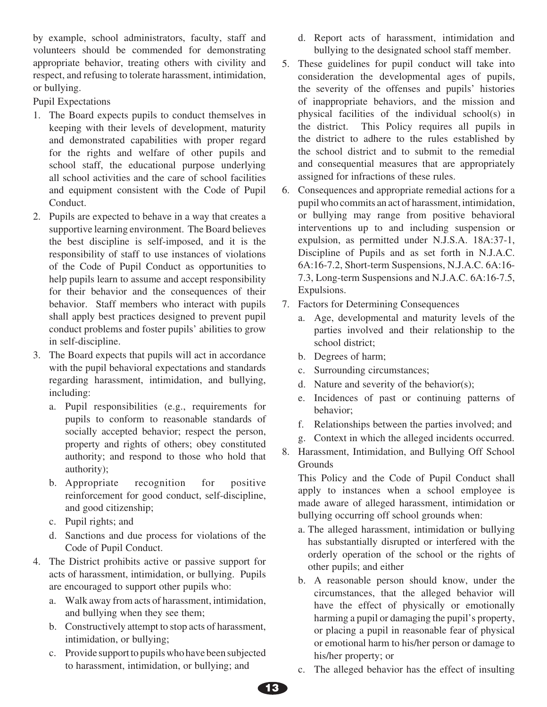by example, school administrators, faculty, staff and volunteers should be commended for demonstrating appropriate behavior, treating others with civility and respect, and refusing to tolerate harassment, intimidation, or bullying.

Pupil Expectations

- 1. The Board expects pupils to conduct themselves in keeping with their levels of development, maturity and demonstrated capabilities with proper regard for the rights and welfare of other pupils and school staff, the educational purpose underlying all school activities and the care of school facilities and equipment consistent with the Code of Pupil Conduct.
- 2. Pupils are expected to behave in a way that creates a supportive learning environment. The Board believes the best discipline is self-imposed, and it is the responsibility of staff to use instances of violations of the Code of Pupil Conduct as opportunities to help pupils learn to assume and accept responsibility for their behavior and the consequences of their behavior. Staff members who interact with pupils shall apply best practices designed to prevent pupil conduct problems and foster pupils' abilities to grow in self-discipline.
- 3. The Board expects that pupils will act in accordance with the pupil behavioral expectations and standards regarding harassment, intimidation, and bullying, including:
	- a. Pupil responsibilities (e.g., requirements for pupils to conform to reasonable standards of socially accepted behavior; respect the person, property and rights of others; obey constituted authority; and respond to those who hold that authority);
	- b. Appropriate recognition for positive reinforcement for good conduct, self-discipline, and good citizenship;
	- c. Pupil rights; and
	- d. Sanctions and due process for violations of the Code of Pupil Conduct.
- 4. The District prohibits active or passive support for acts of harassment, intimidation, or bullying. Pupils are encouraged to support other pupils who:
	- a. Walk away from acts of harassment, intimidation, and bullying when they see them;
	- b. Constructively attempt to stop acts of harassment, intimidation, or bullying;
	- c. Provide support to pupils who have been subjected to harassment, intimidation, or bullying; and
- d. Report acts of harassment, intimidation and bullying to the designated school staff member.
- 5. These guidelines for pupil conduct will take into consideration the developmental ages of pupils, the severity of the offenses and pupils' histories of inappropriate behaviors, and the mission and physical facilities of the individual school(s) in the district. This Policy requires all pupils in the district to adhere to the rules established by the school district and to submit to the remedial and consequential measures that are appropriately assigned for infractions of these rules.
- 6. Consequences and appropriate remedial actions for a pupil who commits an act of harassment, intimidation, or bullying may range from positive behavioral interventions up to and including suspension or expulsion, as permitted under N.J.S.A. 18A:37-1, Discipline of Pupils and as set forth in N.J.A.C. 6A:16-7.2, Short-term Suspensions, N.J.A.C. 6A:16- 7.3, Long-term Suspensions and N.J.A.C. 6A:16-7.5, Expulsions.
- 7. Factors for Determining Consequences
	- a. Age, developmental and maturity levels of the parties involved and their relationship to the school district;
	- b. Degrees of harm;
	- c. Surrounding circumstances;
	- d. Nature and severity of the behavior(s);
	- e. Incidences of past or continuing patterns of behavior;
	- f. Relationships between the parties involved; and
	- g. Context in which the alleged incidents occurred.
- 8. Harassment, Intimidation, and Bullying Off School **Grounds**

 This Policy and the Code of Pupil Conduct shall apply to instances when a school employee is made aware of alleged harassment, intimidation or bullying occurring off school grounds when:

- a. The alleged harassment, intimidation or bullying has substantially disrupted or interfered with the orderly operation of the school or the rights of other pupils; and either
- b. A reasonable person should know, under the circumstances, that the alleged behavior will have the effect of physically or emotionally harming a pupil or damaging the pupil's property, or placing a pupil in reasonable fear of physical or emotional harm to his/her person or damage to his/her property; or
- c. The alleged behavior has the effect of insulting

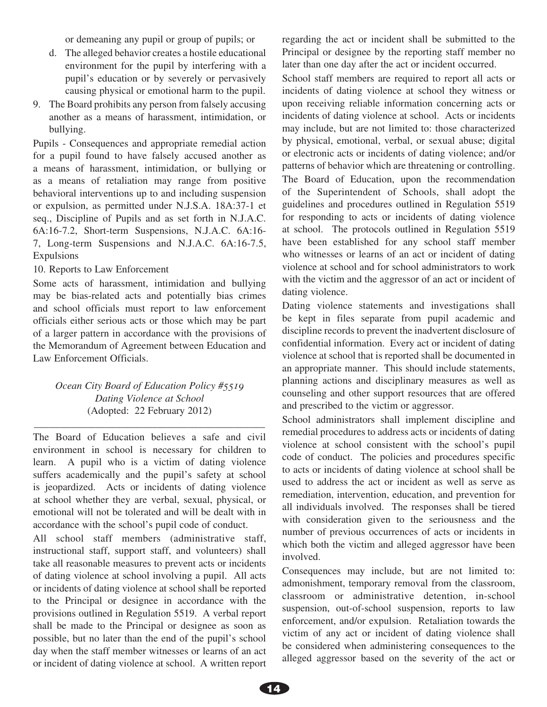or demeaning any pupil or group of pupils; or

- d. The alleged behavior creates a hostile educational environment for the pupil by interfering with a pupil's education or by severely or pervasively causing physical or emotional harm to the pupil.
- 9. The Board prohibits any person from falsely accusing another as a means of harassment, intimidation, or bullying.

Pupils - Consequences and appropriate remedial action for a pupil found to have falsely accused another as a means of harassment, intimidation, or bullying or as a means of retaliation may range from positive behavioral interventions up to and including suspension or expulsion, as permitted under N.J.S.A. 18A:37-1 et seq., Discipline of Pupils and as set forth in N.J.A.C. 6A:16-7.2, Short-term Suspensions, N.J.A.C. 6A:16- 7, Long-term Suspensions and N.J.A.C. 6A:16-7.5, Expulsions

10. Reports to Law Enforcement

Some acts of harassment, intimidation and bullying may be bias-related acts and potentially bias crimes and school officials must report to law enforcement officials either serious acts or those which may be part of a larger pattern in accordance with the provisions of the Memorandum of Agreement between Education and Law Enforcement Officials.

# *Ocean City Board of Education Policy #5519 Dating Violence at School* (Adopted: 22 February 2012)

\_\_\_\_\_\_\_\_\_\_\_\_\_\_\_\_\_\_\_\_\_\_\_\_\_\_\_\_\_\_\_\_\_\_\_\_\_\_\_\_\_\_\_\_\_

The Board of Education believes a safe and civil environment in school is necessary for children to learn. A pupil who is a victim of dating violence suffers academically and the pupil's safety at school is jeopardized. Acts or incidents of dating violence at school whether they are verbal, sexual, physical, or emotional will not be tolerated and will be dealt with in accordance with the school's pupil code of conduct.

All school staff members (administrative staff, instructional staff, support staff, and volunteers) shall take all reasonable measures to prevent acts or incidents of dating violence at school involving a pupil. All acts or incidents of dating violence at school shall be reported to the Principal or designee in accordance with the provisions outlined in Regulation 5519. A verbal report shall be made to the Principal or designee as soon as possible, but no later than the end of the pupil's school day when the staff member witnesses or learns of an act or incident of dating violence at school. A written report regarding the act or incident shall be submitted to the Principal or designee by the reporting staff member no later than one day after the act or incident occurred.

School staff members are required to report all acts or incidents of dating violence at school they witness or upon receiving reliable information concerning acts or incidents of dating violence at school. Acts or incidents may include, but are not limited to: those characterized by physical, emotional, verbal, or sexual abuse; digital or electronic acts or incidents of dating violence; and/or patterns of behavior which are threatening or controlling. The Board of Education, upon the recommendation of the Superintendent of Schools, shall adopt the guidelines and procedures outlined in Regulation 5519 for responding to acts or incidents of dating violence at school. The protocols outlined in Regulation 5519 have been established for any school staff member who witnesses or learns of an act or incident of dating violence at school and for school administrators to work with the victim and the aggressor of an act or incident of dating violence.

Dating violence statements and investigations shall be kept in files separate from pupil academic and discipline records to prevent the inadvertent disclosure of confidential information. Every act or incident of dating violence at school that is reported shall be documented in an appropriate manner. This should include statements, planning actions and disciplinary measures as well as counseling and other support resources that are offered and prescribed to the victim or aggressor.

School administrators shall implement discipline and remedial procedures to address acts or incidents of dating violence at school consistent with the school's pupil code of conduct. The policies and procedures specific to acts or incidents of dating violence at school shall be used to address the act or incident as well as serve as remediation, intervention, education, and prevention for all individuals involved. The responses shall be tiered with consideration given to the seriousness and the number of previous occurrences of acts or incidents in which both the victim and alleged aggressor have been involved.

Consequences may include, but are not limited to: admonishment, temporary removal from the classroom, classroom or administrative detention, in-school suspension, out-of-school suspension, reports to law enforcement, and/or expulsion. Retaliation towards the victim of any act or incident of dating violence shall be considered when administering consequences to the alleged aggressor based on the severity of the act or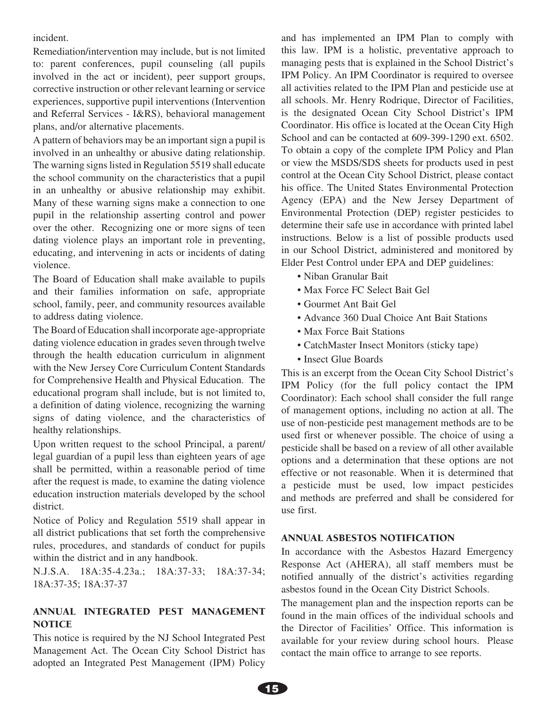incident.

Remediation/intervention may include, but is not limited to: parent conferences, pupil counseling (all pupils involved in the act or incident), peer support groups, corrective instruction or other relevant learning or service experiences, supportive pupil interventions (Intervention and Referral Services - I&RS), behavioral management plans, and/or alternative placements.

A pattern of behaviors may be an important sign a pupil is involved in an unhealthy or abusive dating relationship. The warning signs listed in Regulation 5519 shall educate the school community on the characteristics that a pupil in an unhealthy or abusive relationship may exhibit. Many of these warning signs make a connection to one pupil in the relationship asserting control and power over the other. Recognizing one or more signs of teen dating violence plays an important role in preventing, educating, and intervening in acts or incidents of dating violence.

The Board of Education shall make available to pupils and their families information on safe, appropriate school, family, peer, and community resources available to address dating violence.

The Board of Education shall incorporate age-appropriate dating violence education in grades seven through twelve through the health education curriculum in alignment with the New Jersey Core Curriculum Content Standards for Comprehensive Health and Physical Education. The educational program shall include, but is not limited to, a definition of dating violence, recognizing the warning signs of dating violence, and the characteristics of healthy relationships.

Upon written request to the school Principal, a parent/ legal guardian of a pupil less than eighteen years of age shall be permitted, within a reasonable period of time after the request is made, to examine the dating violence education instruction materials developed by the school district.

Notice of Policy and Regulation 5519 shall appear in all district publications that set forth the comprehensive rules, procedures, and standards of conduct for pupils within the district and in any handbook.

N.J.S.A. 18A:35-4.23a.; 18A:37-33; 18A:37-34; 18A:37-35; 18A:37-37

## ANNUAL INTEGRATED PEST MANAGEMENT **NOTICE**

This notice is required by the NJ School Integrated Pest Management Act. The Ocean City School District has adopted an Integrated Pest Management (IPM) Policy

and has implemented an IPM Plan to comply with this law. IPM is a holistic, preventative approach to managing pests that is explained in the School District's IPM Policy. An IPM Coordinator is required to oversee all activities related to the IPM Plan and pesticide use at all schools. Mr. Henry Rodrique, Director of Facilities, is the designated Ocean City School District's IPM Coordinator. His office is located at the Ocean City High School and can be contacted at 609-399-1290 ext. 6502. To obtain a copy of the complete IPM Policy and Plan or view the MSDS/SDS sheets for products used in pest control at the Ocean City School District, please contact his office. The United States Environmental Protection Agency (EPA) and the New Jersey Department of Environmental Protection (DEP) register pesticides to determine their safe use in accordance with printed label instructions. Below is a list of possible products used in our School District, administered and monitored by Elder Pest Control under EPA and DEP guidelines:

- Niban Granular Bait
- Max Force FC Select Bait Gel
- Gourmet Ant Bait Gel
- Advance 360 Dual Choice Ant Bait Stations
- Max Force Bait Stations
- CatchMaster Insect Monitors (sticky tape)
- Insect Glue Boards

This is an excerpt from the Ocean City School District's IPM Policy (for the full policy contact the IPM Coordinator): Each school shall consider the full range of management options, including no action at all. The use of non-pesticide pest management methods are to be used first or whenever possible. The choice of using a pesticide shall be based on a review of all other available options and a determination that these options are not effective or not reasonable. When it is determined that a pesticide must be used, low impact pesticides and methods are preferred and shall be considered for use first.

#### ANNUAL ASBESTOS NOTIFICATION

In accordance with the Asbestos Hazard Emergency Response Act (AHERA), all staff members must be notified annually of the district's activities regarding asbestos found in the Ocean City District Schools.

The management plan and the inspection reports can be found in the main offices of the individual schools and the Director of Facilities' Office. This information is available for your review during school hours. Please contact the main office to arrange to see reports.